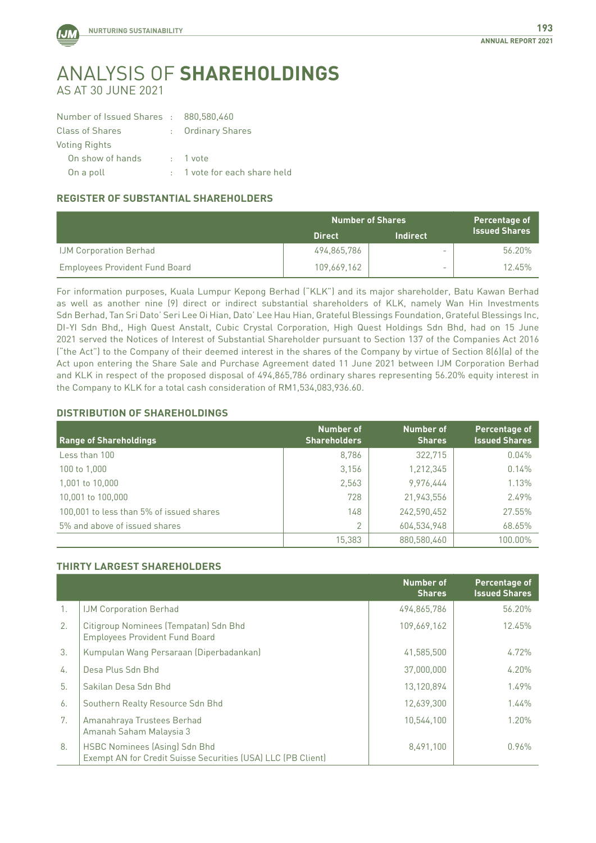

## Analysis of **Shareholdings** As at 30 June 2021

| Number of Issued Shares : 880,580,460 |
|---------------------------------------|
| : Ordinary Shares                     |
|                                       |
| $: 1$ vote                            |
| : 1 vote for each share held          |
|                                       |

## **REGISTER OF SUBSTANTIAL SHAREHOLDERS**

|                                       | <b>Number of Shares</b> |                 | Percentage of        |
|---------------------------------------|-------------------------|-----------------|----------------------|
|                                       | 'Direct.                | <b>Indirect</b> | <b>Issued Shares</b> |
| <b>IJM Corporation Berhad</b>         | 494,865,786             | -               | 56.20%               |
| <b>Employees Provident Fund Board</b> | 109.669.162             | -               | 12.45%               |

For information purposes, Kuala Lumpur Kepong Berhad ("KLK") and its major shareholder, Batu Kawan Berhad as well as another nine (9) direct or indirect substantial shareholders of KLK, namely Wan Hin Investments Sdn Berhad, Tan Sri Dato' Seri Lee Oi Hian, Dato' Lee Hau Hian, Grateful Blessings Foundation, Grateful Blessings Inc, DI-YI Sdn Bhd,, High Quest Anstalt, Cubic Crystal Corporation, High Quest Holdings Sdn Bhd, had on 15 June 2021 served the Notices of Interest of Substantial Shareholder pursuant to Section 137 of the Companies Act 2016 ("the Act") to the Company of their deemed interest in the shares of the Company by virtue of Section 8(6)(a) of the Act upon entering the Share Sale and Purchase Agreement dated 11 June 2021 between IJM Corporation Berhad and KLK in respect of the proposed disposal of 494,865,786 ordinary shares representing 56.20% equity interest in the Company to KLK for a total cash consideration of RM1,534,083,936.60.

## **DISTRIBUTION OF SHAREHOLDINGS**

| <b>Range of Shareholdings</b>            | Number of<br><b>Shareholders</b> | Number of<br><b>Shares</b> | Percentage of<br><b>Issued Shares</b> |
|------------------------------------------|----------------------------------|----------------------------|---------------------------------------|
| Less than 100                            | 8.786                            | 322,715                    | 0.04%                                 |
| 100 to 1,000                             | 3,156                            | 1,212,345                  | 0.14%                                 |
| 1,001 to 10,000                          | 2,563                            | 9,976,444                  | 1.13%                                 |
| 10,001 to 100,000                        | 728                              | 21,943,556                 | 2.49%                                 |
| 100,001 to less than 5% of issued shares | 148                              | 242,590,452                | 27.55%                                |
| 5% and above of issued shares            | 2                                | 604,534,948                | 68.65%                                |
|                                          | 15.383                           | 880.580.460                | 100.00%                               |

## **THIRTY LARGEST SHAREHOLDERS**

|                |                                                                                               | <b>Number of</b><br><b>Shares</b> | Percentage of<br><b>Issued Shares</b> |
|----------------|-----------------------------------------------------------------------------------------------|-----------------------------------|---------------------------------------|
| $\mathbf{1}$ . | <b>IJM Corporation Berhad</b>                                                                 | 494,865,786                       | 56.20%                                |
| 2.             | Citigroup Nominees (Tempatan) Sdn Bhd<br><b>Employees Provident Fund Board</b>                | 109,669,162                       | 12.45%                                |
| 3.             | Kumpulan Wang Persaraan (Diperbadankan)                                                       | 41,585,500                        | $4.72\%$                              |
| 4.             | Desa Plus Sdn Bhd                                                                             | 37,000,000                        | 4.20%                                 |
| 5.             | Sakilan Desa Sdn Bhd                                                                          | 13,120,894                        | 1.49%                                 |
| 6.             | Southern Realty Resource Sdn Bhd                                                              | 12,639,300                        | 1.44%                                 |
| 7.             | Amanahraya Trustees Berhad<br>Amanah Saham Malaysia 3                                         | 10.544.100                        | 1.20%                                 |
| 8.             | HSBC Nominees (Asing) Sdn Bhd<br>Exempt AN for Credit Suisse Securities (USA) LLC (PB Client) | 8,491,100                         | 0.96%                                 |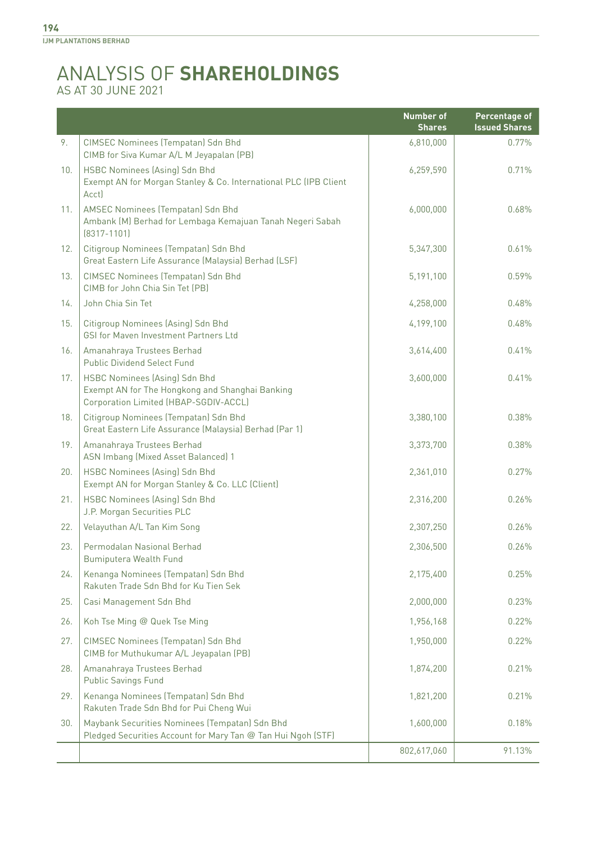## Analysis of **Shareholdings** As at 30 June 2021

|     |                                                                                                                                  | <b>Number of</b><br><b>Shares</b> | <b>Percentage of</b><br><b>Issued Shares</b> |
|-----|----------------------------------------------------------------------------------------------------------------------------------|-----------------------------------|----------------------------------------------|
| 9.  | CIMSEC Nominees (Tempatan) Sdn Bhd<br>CIMB for Siva Kumar A/L M Jeyapalan (PB)                                                   | 6,810,000                         | 0.77%                                        |
| 10. | HSBC Nominees (Asing) Sdn Bhd<br>Exempt AN for Morgan Stanley & Co. International PLC (IPB Client<br>Acct)                       | 6,259,590                         | 0.71%                                        |
| 11. | AMSEC Nominees (Tempatan) Sdn Bhd<br>Ambank (M) Berhad for Lembaga Kemajuan Tanah Negeri Sabah<br>$[8317 - 1101]$                | 6,000,000                         | 0.68%                                        |
| 12. | Citigroup Nominees (Tempatan) Sdn Bhd<br>Great Eastern Life Assurance (Malaysia) Berhad (LSF)                                    | 5,347,300                         | 0.61%                                        |
| 13. | CIMSEC Nominees (Tempatan) Sdn Bhd<br>CIMB for John Chia Sin Tet (PB)                                                            | 5,191,100                         | 0.59%                                        |
| 14. | John Chia Sin Tet                                                                                                                | 4,258,000                         | 0.48%                                        |
| 15. | Citigroup Nominees (Asing) Sdn Bhd<br>GSI for Maven Investment Partners Ltd                                                      | 4,199,100                         | 0.48%                                        |
| 16. | Amanahraya Trustees Berhad<br><b>Public Dividend Select Fund</b>                                                                 | 3,614,400                         | 0.41%                                        |
| 17. | <b>HSBC Nominees (Asing) Sdn Bhd</b><br>Exempt AN for The Hongkong and Shanghai Banking<br>Corporation Limited (HBAP-SGDIV-ACCL) | 3,600,000                         | 0.41%                                        |
| 18. | Citigroup Nominees (Tempatan) Sdn Bhd<br>Great Eastern Life Assurance (Malaysia) Berhad (Par 1)                                  | 3,380,100                         | 0.38%                                        |
| 19. | Amanahraya Trustees Berhad<br>ASN Imbang (Mixed Asset Balanced) 1                                                                | 3,373,700                         | 0.38%                                        |
| 20. | HSBC Nominees (Asing) Sdn Bhd<br>Exempt AN for Morgan Stanley & Co. LLC (Client)                                                 | 2,361,010                         | 0.27%                                        |
| 21. | <b>HSBC Nominees (Asing) Sdn Bhd</b><br>J.P. Morgan Securities PLC                                                               | 2,316,200                         | 0.26%                                        |
| 22. | Velayuthan A/L Tan Kim Song                                                                                                      | 2,307,250                         | 0.26%                                        |
| 23. | Permodalan Nasional Berhad<br>Bumiputera Wealth Fund                                                                             | 2,306,500                         | 0.26%                                        |
| 24. | Kenanga Nominees (Tempatan) Sdn Bhd<br>Rakuten Trade Sdn Bhd for Ku Tien Sek                                                     | 2,175,400                         | 0.25%                                        |
| 25. | Casi Management Sdn Bhd                                                                                                          | 2,000,000                         | 0.23%                                        |
| 26. | Koh Tse Ming @ Quek Tse Ming                                                                                                     | 1,956,168                         | 0.22%                                        |
| 27. | CIMSEC Nominees (Tempatan) Sdn Bhd<br>CIMB for Muthukumar A/L Jeyapalan (PB)                                                     | 1,950,000                         | 0.22%                                        |
| 28. | Amanahraya Trustees Berhad<br><b>Public Savings Fund</b>                                                                         | 1,874,200                         | 0.21%                                        |
| 29. | Kenanga Nominees (Tempatan) Sdn Bhd<br>Rakuten Trade Sdn Bhd for Pui Cheng Wui                                                   | 1,821,200                         | 0.21%                                        |
| 30. | Maybank Securities Nominees (Tempatan) Sdn Bhd<br>Pledged Securities Account for Mary Tan @ Tan Hui Ngoh (STF)                   | 1,600,000                         | 0.18%                                        |
|     |                                                                                                                                  | 802,617,060                       | 91.13%                                       |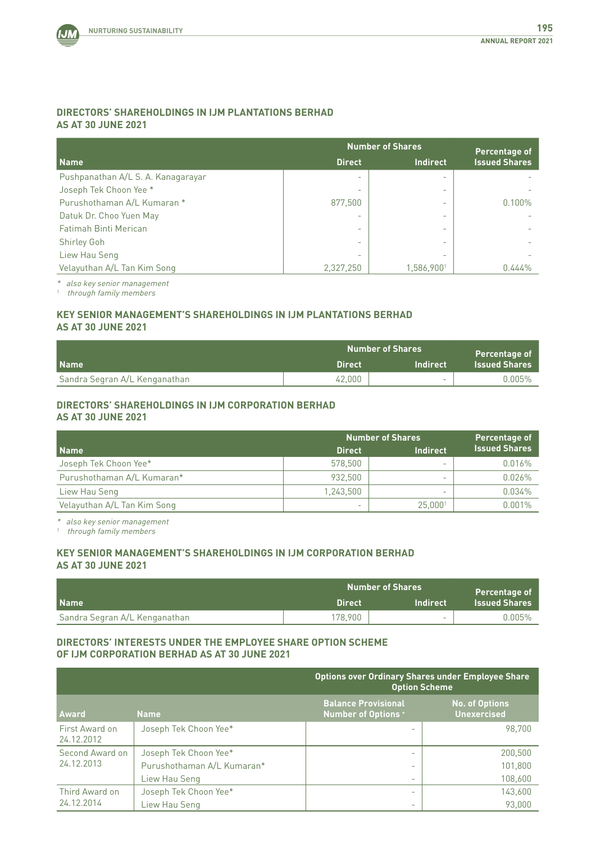

## **DIRECTORS' SHAREHOLDINGS IN IJM PLANTATIONS BERHAD AS AT 30 JUNE 2021**

|                                    | <b>Number of Shares</b>  |                          | Percentage of        |
|------------------------------------|--------------------------|--------------------------|----------------------|
| Name                               | <b>Direct</b>            | <b>Indirect</b>          | <b>Issued Shares</b> |
| Pushpanathan A/L S. A. Kanagarayar | $\overline{\phantom{0}}$ | $\overline{\phantom{0}}$ |                      |
| Joseph Tek Choon Yee *             | $\overline{\phantom{0}}$ | $\qquad \qquad$          |                      |
| Purushothaman A/L Kumaran *        | 877.500                  | $\overline{\phantom{0}}$ | 0.100%               |
| Datuk Dr. Choo Yuen May            | $\overline{\phantom{0}}$ | -                        |                      |
| Fatimah Binti Merican              | $\overline{\phantom{0}}$ | $\qquad \qquad$          |                      |
| <b>Shirley Goh</b>                 | $\overline{\phantom{0}}$ | $\overline{\phantom{0}}$ |                      |
| Liew Hau Seng                      | $\overline{\phantom{0}}$ | $\qquad \qquad$          |                      |
| Velayuthan A/L Tan Kim Song        | 2,327,250                | 1,586,9001               | 0.444%               |

\* also key senior management

 $<sup>1</sup>$  through family members</sup>

## **KEY SENIOR MANAGEMENT'S SHAREHOLDINGS IN IJM PLANTATIONS BERHAD AS AT 30 JUNE 2021**

|                               | <b>Number of Shares</b> |                          | Percentage of        |
|-------------------------------|-------------------------|--------------------------|----------------------|
| <b>Name</b>                   | <b>Direct</b>           | 'Indirect                | <b>Issued Shares</b> |
| Sandra Segran A/L Kenganathan | 42.000                  | $\overline{\phantom{0}}$ | $0.005\%$            |

#### **DIRECTORS' SHAREHOLDINGS IN IJM CORPORATION BERHAD AS AT 30 JUNE 2021**

|                             | <b>Number of Shares</b> |                          | Percentage of        |
|-----------------------------|-------------------------|--------------------------|----------------------|
| Name                        | <b>Direct</b>           | <b>Indirect</b>          | <b>Issued Shares</b> |
| Joseph Tek Choon Yee*       | 578.500                 | $\overline{\phantom{0}}$ | 0.016%               |
| Purushothaman A/L Kumaran*  | 932.500                 | $\overline{\phantom{0}}$ | 0.026%               |
| Liew Hau Seng               | 1.243.500               | $\overline{\phantom{0}}$ | $0.034\%$            |
| Velayuthan A/L Tan Kim Song | -                       | 25.000                   | $0.001\%$            |

\* also key senior management

 $^{\prime}$  through family members

## **KEY SENIOR MANAGEMENT'S SHAREHOLDINGS IN IJM CORPORATION BERHAD AS AT 30 JUNE 2021**

|                               |               | <b>Number of Shares</b>  | Percentage of        |
|-------------------------------|---------------|--------------------------|----------------------|
| <b>Name</b>                   | <b>Direct</b> | <b>Indirect</b>          | <b>Issued Shares</b> |
| Sandra Segran A/L Kenganathan | 178.900       | $\overline{\phantom{0}}$ | $0.005\%$            |

### **DIRECTORS' INTERESTS UNDER THE EMPLOYEE SHARE OPTION SCHEME OF IJM CORPORATION BERHAD AS AT 30 JUNE 2021**

|                              |                            | <b>Options over Ordinary Shares under Employee Share</b><br><b>Option Scheme</b> |                                             |
|------------------------------|----------------------------|----------------------------------------------------------------------------------|---------------------------------------------|
| <b>Award</b>                 | <b>Name</b>                | <b>Balance Provisional</b><br><b>Number of Options +</b>                         | <b>No. of Options</b><br><b>Unexercised</b> |
| First Award on<br>24.12.2012 | Joseph Tek Choon Yee*      |                                                                                  | 98.700                                      |
| Second Award on              | Joseph Tek Choon Yee*      | $\overline{\phantom{0}}$                                                         | 200,500                                     |
| 24.12.2013                   | Purushothaman A/L Kumaran* |                                                                                  | 101.800                                     |
|                              | Liew Hau Seng              | $\overline{\phantom{0}}$                                                         | 108,600                                     |
| Third Award on               | Joseph Tek Choon Yee*      | $\overline{\phantom{0}}$                                                         | 143,600                                     |
| 24.12.2014                   | Liew Hau Seng              | $\qquad \qquad$                                                                  | 93,000                                      |